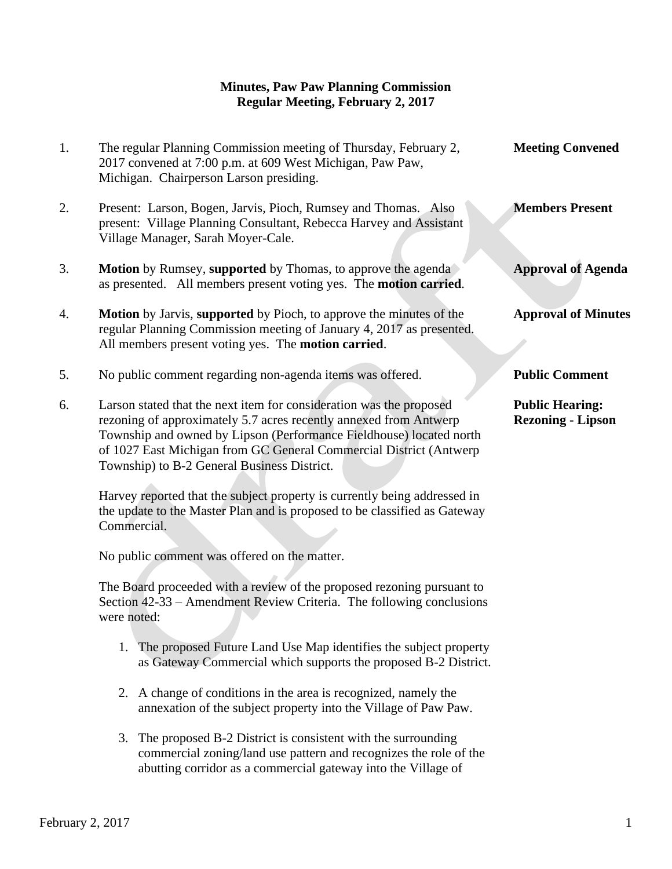## **Minutes, Paw Paw Planning Commission Regular Meeting, February 2, 2017**

1. The regular Planning Commission meeting of Thursday, February 2, **Meeting Convened** 2017 convened at 7:00 p.m. at 609 West Michigan, Paw Paw, Michigan. Chairperson Larson presiding. 2. Present: Larson, Bogen, Jarvis, Pioch, Rumsey and Thomas. Also **Members Present** present: Village Planning Consultant, Rebecca Harvey and Assistant Village Manager, Sarah Moyer-Cale. 3. **Motion** by Rumsey, **supported** by Thomas, to approve the agenda **Approval of Agenda** as presented. All members present voting yes. The **motion carried**. 4. **Motion** by Jarvis, **supported** by Pioch, to approve the minutes of the **Approval of Minutes** regular Planning Commission meeting of January 4, 2017 as presented. All members present voting yes. The **motion carried**. 5. No public comment regarding non-agenda items was offered. **Public Comment** 6. Larson stated that the next item for consideration was the proposed **Public Hearing:** rezoning of approximately 5.7 acres recently annexed from Antwerp **Rezoning - Lipson** Township and owned by Lipson (Performance Fieldhouse) located north

 Section 42-33 – Amendment Review Criteria. The following conclusions were noted:

The Board proceeded with a review of the proposed rezoning pursuant to

of 1027 East Michigan from GC General Commercial District (Antwerp

 Harvey reported that the subject property is currently being addressed in the update to the Master Plan and is proposed to be classified as Gateway

Township) to B-2 General Business District.

No public comment was offered on the matter.

Commercial.

- 1. The proposed Future Land Use Map identifies the subject property as Gateway Commercial which supports the proposed B-2 District.
- 2. A change of conditions in the area is recognized, namely the annexation of the subject property into the Village of Paw Paw.
- 3. The proposed B-2 District is consistent with the surrounding commercial zoning/land use pattern and recognizes the role of the abutting corridor as a commercial gateway into the Village of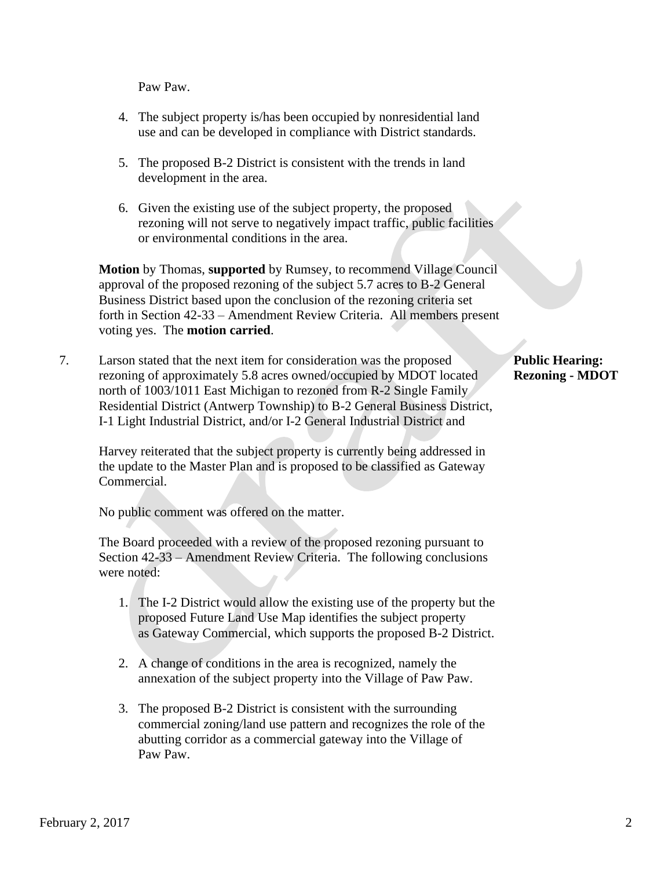Paw Paw.

- 4. The subject property is/has been occupied by nonresidential land use and can be developed in compliance with District standards.
- 5. The proposed B-2 District is consistent with the trends in land development in the area.
- 6. Given the existing use of the subject property, the proposed rezoning will not serve to negatively impact traffic, public facilities or environmental conditions in the area.

 **Motion** by Thomas, **supported** by Rumsey, to recommend Village Council approval of the proposed rezoning of the subject 5.7 acres to B-2 General Business District based upon the conclusion of the rezoning criteria set forth in Section 42-33 – Amendment Review Criteria. All members present voting yes. The **motion carried**.

7. Larson stated that the next item for consideration was the proposed **Public Hearing:** rezoning of approximately 5.8 acres owned/occupied by MDOT located **Rezoning - MDOT** north of 1003/1011 East Michigan to rezoned from R-2 Single Family Residential District (Antwerp Township) to B-2 General Business District, I-1 Light Industrial District, and/or I-2 General Industrial District and

 Harvey reiterated that the subject property is currently being addressed in the update to the Master Plan and is proposed to be classified as Gateway Commercial.

No public comment was offered on the matter.

 The Board proceeded with a review of the proposed rezoning pursuant to Section 42-33 – Amendment Review Criteria. The following conclusions were noted:

- 1. The I-2 District would allow the existing use of the property but the proposed Future Land Use Map identifies the subject property as Gateway Commercial, which supports the proposed B-2 District.
- 2. A change of conditions in the area is recognized, namely the annexation of the subject property into the Village of Paw Paw.
- 3. The proposed B-2 District is consistent with the surrounding commercial zoning/land use pattern and recognizes the role of the abutting corridor as a commercial gateway into the Village of Paw Paw.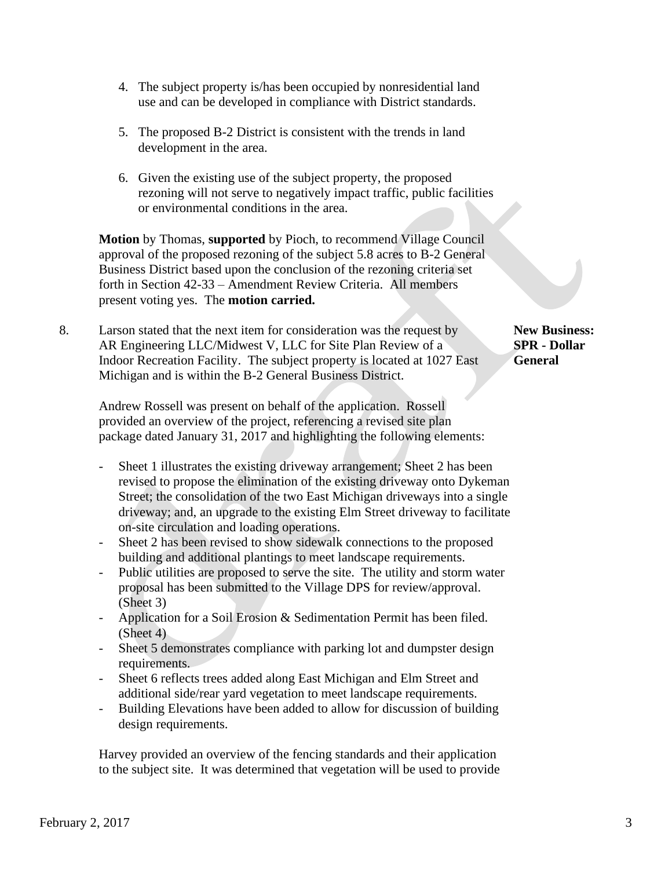- 4. The subject property is/has been occupied by nonresidential land use and can be developed in compliance with District standards.
- 5. The proposed B-2 District is consistent with the trends in land development in the area.
- 6. Given the existing use of the subject property, the proposed rezoning will not serve to negatively impact traffic, public facilities or environmental conditions in the area.

 **Motion** by Thomas, **supported** by Pioch, to recommend Village Council approval of the proposed rezoning of the subject 5.8 acres to B-2 General Business District based upon the conclusion of the rezoning criteria set forth in Section 42-33 – Amendment Review Criteria. All members present voting yes. The **motion carried.**

8. Larson stated that the next item for consideration was the request by **New Business:**  AR Engineering LLC/Midwest V, LLC for Site Plan Review of a **SPR - Dollar** Indoor Recreation Facility. The subject property is located at 1027 East **General** Michigan and is within the B-2 General Business District.

 Andrew Rossell was present on behalf of the application. Rossell provided an overview of the project, referencing a revised site plan package dated January 31, 2017 and highlighting the following elements:

- Sheet 1 illustrates the existing driveway arrangement; Sheet 2 has been revised to propose the elimination of the existing driveway onto Dykeman Street; the consolidation of the two East Michigan driveways into a single driveway; and, an upgrade to the existing Elm Street driveway to facilitate on-site circulation and loading operations.
- Sheet 2 has been revised to show sidewalk connections to the proposed building and additional plantings to meet landscape requirements.
- Public utilities are proposed to serve the site. The utility and storm water proposal has been submitted to the Village DPS for review/approval. (Sheet 3)
- Application for a Soil Erosion & Sedimentation Permit has been filed. (Sheet 4)
- Sheet 5 demonstrates compliance with parking lot and dumpster design requirements.
- Sheet 6 reflects trees added along East Michigan and Elm Street and additional side/rear yard vegetation to meet landscape requirements.
- Building Elevations have been added to allow for discussion of building design requirements.

 Harvey provided an overview of the fencing standards and their application to the subject site. It was determined that vegetation will be used to provide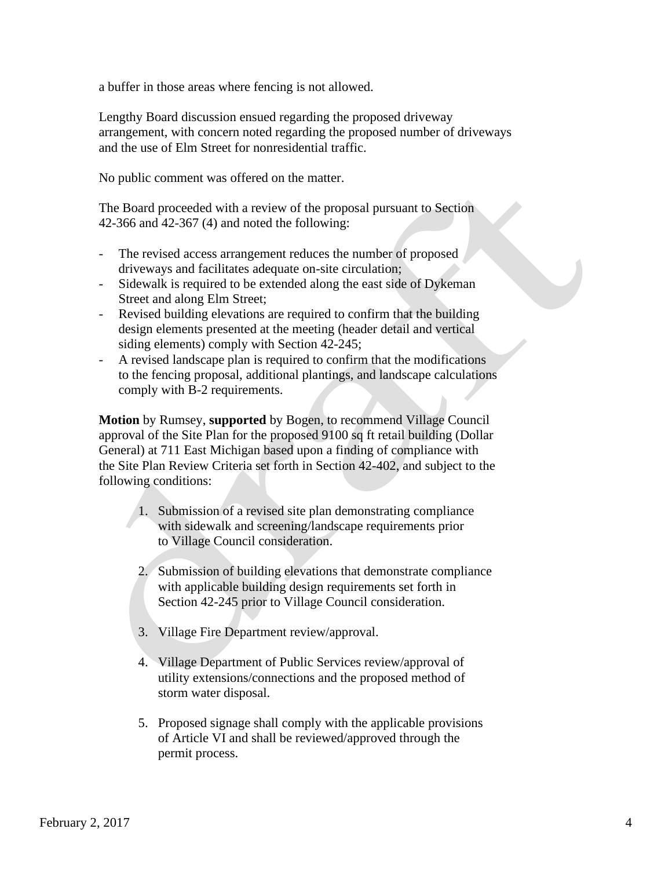a buffer in those areas where fencing is not allowed.

 Lengthy Board discussion ensued regarding the proposed driveway arrangement, with concern noted regarding the proposed number of driveways and the use of Elm Street for nonresidential traffic.

No public comment was offered on the matter.

The Board proceeded with a review of the proposal pursuant to Section 42-366 and 42-367 (4) and noted the following:

- The revised access arrangement reduces the number of proposed driveways and facilitates adequate on-site circulation;
- Sidewalk is required to be extended along the east side of Dykeman Street and along Elm Street;
- Revised building elevations are required to confirm that the building design elements presented at the meeting (header detail and vertical siding elements) comply with Section 42-245;
- A revised landscape plan is required to confirm that the modifications to the fencing proposal, additional plantings, and landscape calculations comply with B-2 requirements.

 **Motion** by Rumsey, **supported** by Bogen, to recommend Village Council approval of the Site Plan for the proposed 9100 sq ft retail building (Dollar General) at 711 East Michigan based upon a finding of compliance with the Site Plan Review Criteria set forth in Section 42-402, and subject to the following conditions:

- 1. Submission of a revised site plan demonstrating compliance with sidewalk and screening/landscape requirements prior to Village Council consideration.
- 2. Submission of building elevations that demonstrate compliance with applicable building design requirements set forth in Section 42-245 prior to Village Council consideration.
- 3. Village Fire Department review/approval.
- 4. Village Department of Public Services review/approval of utility extensions/connections and the proposed method of storm water disposal.
- 5. Proposed signage shall comply with the applicable provisions of Article VI and shall be reviewed/approved through the permit process.